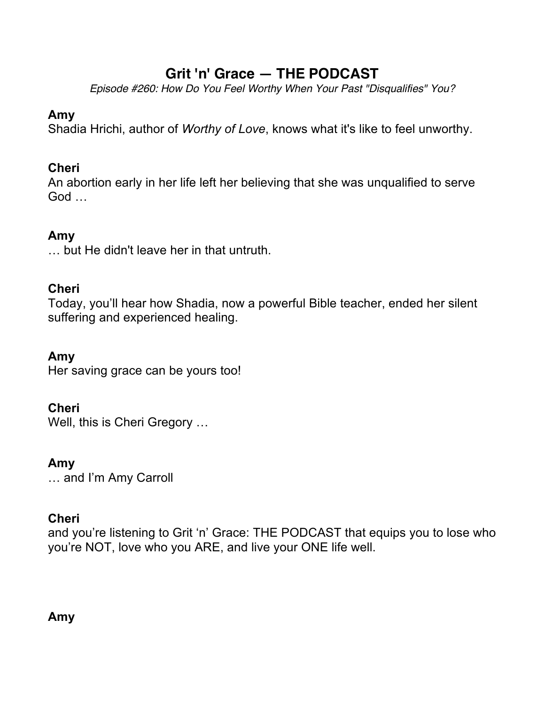# **Grit 'n' Grace — THE PODCAST**

*Episode #260: How Do You Feel Worthy When Your Past "Disqualifies" You?*

### **Amy**

Shadia Hrichi, author of *Worthy of Love*, knows what it's like to feel unworthy.

# **Cheri**

An abortion early in her life left her believing that she was unqualified to serve God …

# **Amy**

… but He didn't leave her in that untruth.

### **Cheri**

Today, you'll hear how Shadia, now a powerful Bible teacher, ended her silent suffering and experienced healing.

### **Amy**

Her saving grace can be yours too!

### **Cheri**

Well, this is Cheri Gregory …

### **Amy**

… and I'm Amy Carroll

### **Cheri**

and you're listening to Grit 'n' Grace: THE PODCAST that equips you to lose who you're NOT, love who you ARE, and live your ONE life well.

### **Amy**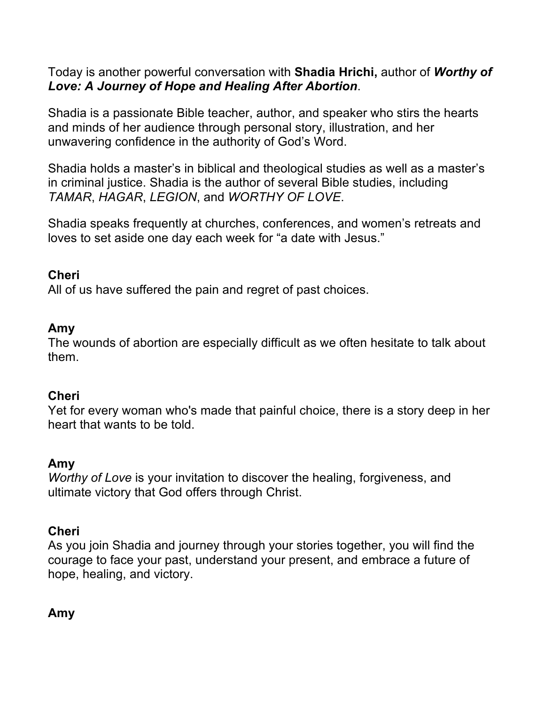Today is another powerful conversation with **Shadia Hrichi,** author of *Worthy of Love: A Journey of Hope and Healing After Abortion*.

Shadia is a passionate Bible teacher, author, and speaker who stirs the hearts and minds of her audience through personal story, illustration, and her unwavering confidence in the authority of God's Word.

Shadia holds a master's in biblical and theological studies as well as a master's in criminal justice. Shadia is the author of several Bible studies, including *TAMAR*, *HAGAR*, *LEGION*, and *WORTHY OF LOVE*.

Shadia speaks frequently at churches, conferences, and women's retreats and loves to set aside one day each week for "a date with Jesus."

### **Cheri**

All of us have suffered the pain and regret of past choices.

#### **Amy**

The wounds of abortion are especially difficult as we often hesitate to talk about them.

### **Cheri**

Yet for every woman who's made that painful choice, there is a story deep in her heart that wants to be told.

#### **Amy**

*Worthy of Love* is your invitation to discover the healing, forgiveness, and ultimate victory that God offers through Christ.

#### **Cheri**

As you join Shadia and journey through your stories together, you will find the courage to face your past, understand your present, and embrace a future of hope, healing, and victory.

### **Amy**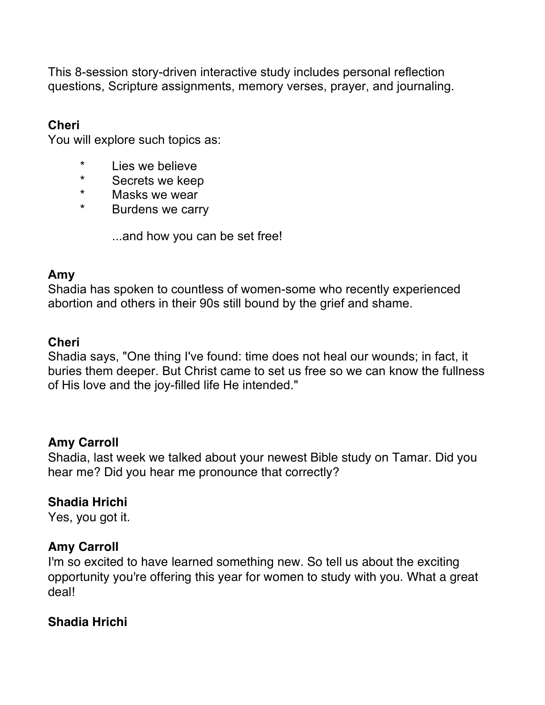This 8-session story-driven interactive study includes personal reflection questions, Scripture assignments, memory verses, prayer, and journaling.

#### **Cheri**

You will explore such topics as:

- \* Lies we believe
- \* Secrets we keep
- \* Masks we wear
- \* Burdens we carry

...and how you can be set free!

#### **Amy**

Shadia has spoken to countless of women-some who recently experienced abortion and others in their 90s still bound by the grief and shame.

### **Cheri**

Shadia says, "One thing I've found: time does not heal our wounds; in fact, it buries them deeper. But Christ came to set us free so we can know the fullness of His love and the joy-filled life He intended."

#### **Amy Carroll**

Shadia, last week we talked about your newest Bible study on Tamar. Did you hear me? Did you hear me pronounce that correctly?

### **Shadia Hrichi**

Yes, you got it.

#### **Amy Carroll**

I'm so excited to have learned something new. So tell us about the exciting opportunity you're offering this year for women to study with you. What a great deal!

### **Shadia Hrichi**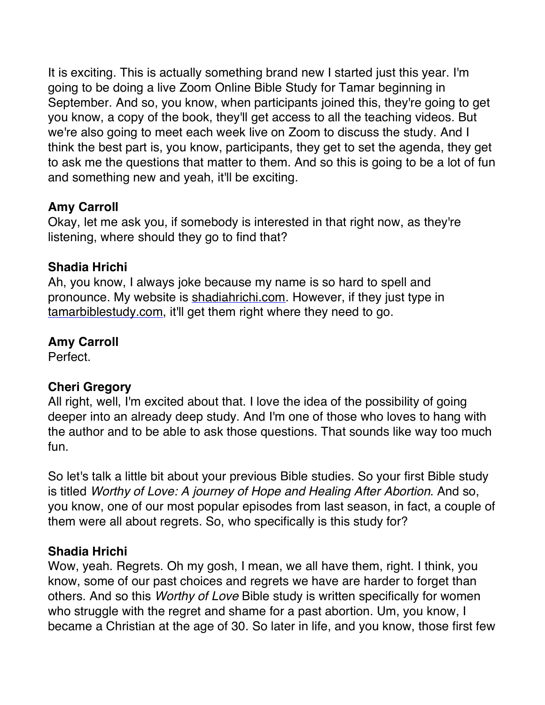It is exciting. This is actually something brand new I started just this year. I'm going to be doing a live Zoom Online Bible Study for Tamar beginning in September. And so, you know, when participants joined this, they're going to get you know, a copy of the book, they'll get access to all the teaching videos. But we're also going to meet each week live on Zoom to discuss the study. And I think the best part is, you know, participants, they get to set the agenda, they get to ask me the questions that matter to them. And so this is going to be a lot of fun and something new and yeah, it'll be exciting.

### **Amy Carroll**

Okay, let me ask you, if somebody is interested in that right now, as they're listening, where should they go to find that?

#### **Shadia Hrichi**

Ah, you know, I always joke because my name is so hard to spell and pronounce. My website is shadiahrichi.com. However, if they just type in tamarbiblestudy.com, it'll get them right where they need to go.

# **Amy Carroll**

Perfect.

### **Cheri Gregory**

All right, well, I'm excited about that. I love the idea of the possibility of going deeper into an already deep study. And I'm one of those who loves to hang with the author and to be able to ask those questions. That sounds like way too much fun.

So let's talk a little bit about your previous Bible studies. So your first Bible study is titled *Worthy of Love: A journey of Hope and Healing After Abortion*. And so, you know, one of our most popular episodes from last season, in fact, a couple of them were all about regrets. So, who specifically is this study for?

#### **Shadia Hrichi**

Wow, yeah. Regrets. Oh my gosh, I mean, we all have them, right. I think, you know, some of our past choices and regrets we have are harder to forget than others. And so this *Worthy of Love* Bible study is written specifically for women who struggle with the regret and shame for a past abortion. Um, you know, I became a Christian at the age of 30. So later in life, and you know, those first few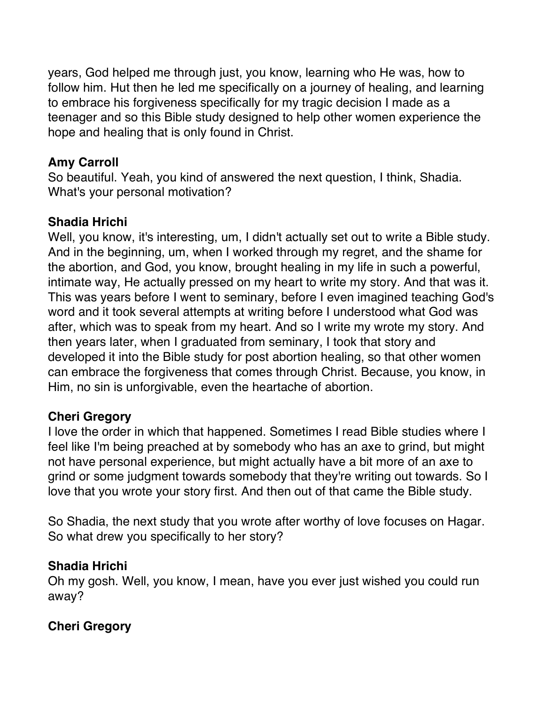years, God helped me through just, you know, learning who He was, how to follow him. Hut then he led me specifically on a journey of healing, and learning to embrace his forgiveness specifically for my tragic decision I made as a teenager and so this Bible study designed to help other women experience the hope and healing that is only found in Christ.

# **Amy Carroll**

So beautiful. Yeah, you kind of answered the next question, I think, Shadia. What's your personal motivation?

### **Shadia Hrichi**

Well, you know, it's interesting, um, I didn't actually set out to write a Bible study. And in the beginning, um, when I worked through my regret, and the shame for the abortion, and God, you know, brought healing in my life in such a powerful, intimate way, He actually pressed on my heart to write my story. And that was it. This was years before I went to seminary, before I even imagined teaching God's word and it took several attempts at writing before I understood what God was after, which was to speak from my heart. And so I write my wrote my story. And then years later, when I graduated from seminary, I took that story and developed it into the Bible study for post abortion healing, so that other women can embrace the forgiveness that comes through Christ. Because, you know, in Him, no sin is unforgivable, even the heartache of abortion.

### **Cheri Gregory**

I love the order in which that happened. Sometimes I read Bible studies where I feel like I'm being preached at by somebody who has an axe to grind, but might not have personal experience, but might actually have a bit more of an axe to grind or some judgment towards somebody that they're writing out towards. So I love that you wrote your story first. And then out of that came the Bible study.

So Shadia, the next study that you wrote after worthy of love focuses on Hagar. So what drew you specifically to her story?

### **Shadia Hrichi**

Oh my gosh. Well, you know, I mean, have you ever just wished you could run away?

# **Cheri Gregory**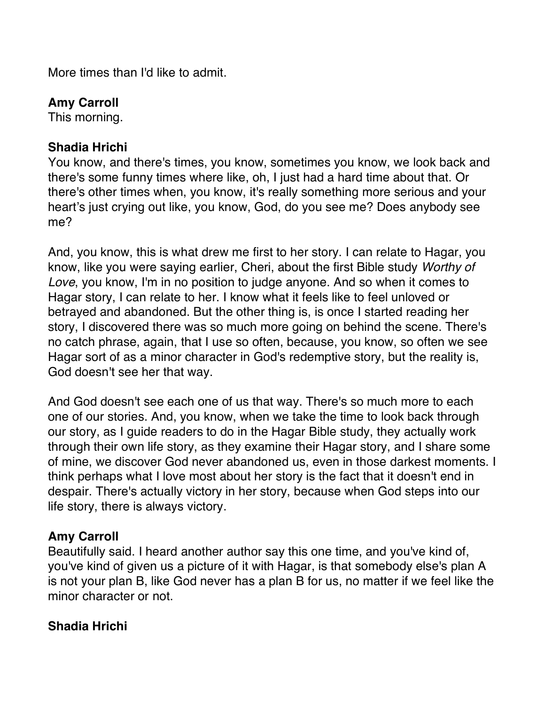More times than I'd like to admit.

# **Amy Carroll**

This morning.

#### **Shadia Hrichi**

You know, and there's times, you know, sometimes you know, we look back and there's some funny times where like, oh, I just had a hard time about that. Or there's other times when, you know, it's really something more serious and your heart's just crying out like, you know, God, do you see me? Does anybody see me?

And, you know, this is what drew me first to her story. I can relate to Hagar, you know, like you were saying earlier, Cheri, about the first Bible study *Worthy of Love*, you know, I'm in no position to judge anyone. And so when it comes to Hagar story, I can relate to her. I know what it feels like to feel unloved or betrayed and abandoned. But the other thing is, is once I started reading her story, I discovered there was so much more going on behind the scene. There's no catch phrase, again, that I use so often, because, you know, so often we see Hagar sort of as a minor character in God's redemptive story, but the reality is, God doesn't see her that way.

And God doesn't see each one of us that way. There's so much more to each one of our stories. And, you know, when we take the time to look back through our story, as I guide readers to do in the Hagar Bible study, they actually work through their own life story, as they examine their Hagar story, and I share some of mine, we discover God never abandoned us, even in those darkest moments. I think perhaps what I love most about her story is the fact that it doesn't end in despair. There's actually victory in her story, because when God steps into our life story, there is always victory.

### **Amy Carroll**

Beautifully said. I heard another author say this one time, and you've kind of, you've kind of given us a picture of it with Hagar, is that somebody else's plan A is not your plan B, like God never has a plan B for us, no matter if we feel like the minor character or not.

### **Shadia Hrichi**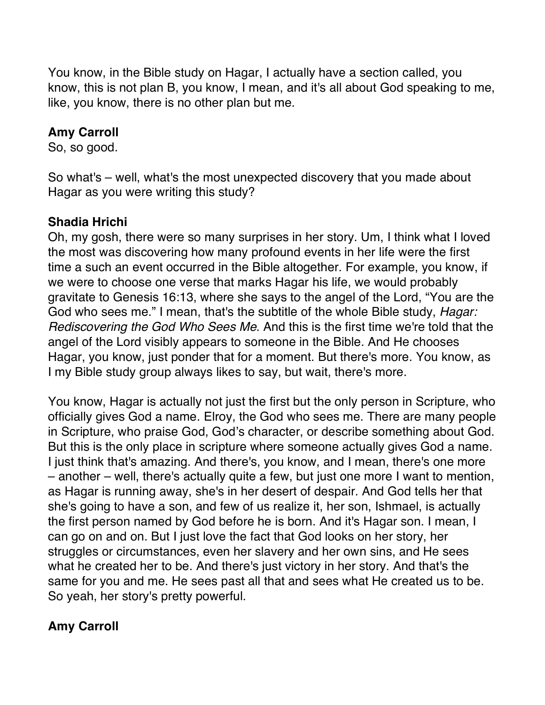You know, in the Bible study on Hagar, I actually have a section called, you know, this is not plan B, you know, I mean, and it's all about God speaking to me, like, you know, there is no other plan but me.

#### **Amy Carroll**

So, so good.

So what's – well, what's the most unexpected discovery that you made about Hagar as you were writing this study?

#### **Shadia Hrichi**

Oh, my gosh, there were so many surprises in her story. Um, I think what I loved the most was discovering how many profound events in her life were the first time a such an event occurred in the Bible altogether. For example, you know, if we were to choose one verse that marks Hagar his life, we would probably gravitate to Genesis 16:13, where she says to the angel of the Lord, "You are the God who sees me." I mean, that's the subtitle of the whole Bible study, *Hagar: Rediscovering the God Who Sees Me*. And this is the first time we're told that the angel of the Lord visibly appears to someone in the Bible. And He chooses Hagar, you know, just ponder that for a moment. But there's more. You know, as I my Bible study group always likes to say, but wait, there's more.

You know, Hagar is actually not just the first but the only person in Scripture, who officially gives God a name. Elroy, the God who sees me. There are many people in Scripture, who praise God, God's character, or describe something about God. But this is the only place in scripture where someone actually gives God a name. I just think that's amazing. And there's, you know, and I mean, there's one more – another – well, there's actually quite a few, but just one more I want to mention, as Hagar is running away, she's in her desert of despair. And God tells her that she's going to have a son, and few of us realize it, her son, Ishmael, is actually the first person named by God before he is born. And it's Hagar son. I mean, I can go on and on. But I just love the fact that God looks on her story, her struggles or circumstances, even her slavery and her own sins, and He sees what he created her to be. And there's just victory in her story. And that's the same for you and me. He sees past all that and sees what He created us to be. So yeah, her story's pretty powerful.

### **Amy Carroll**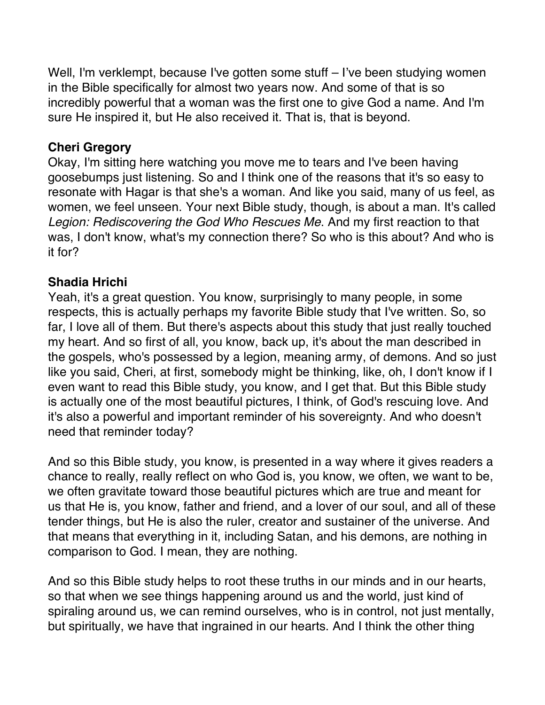Well, I'm verklempt, because I've gotten some stuff – I've been studying women in the Bible specifically for almost two years now. And some of that is so incredibly powerful that a woman was the first one to give God a name. And I'm sure He inspired it, but He also received it. That is, that is beyond.

#### **Cheri Gregory**

Okay, I'm sitting here watching you move me to tears and I've been having goosebumps just listening. So and I think one of the reasons that it's so easy to resonate with Hagar is that she's a woman. And like you said, many of us feel, as women, we feel unseen. Your next Bible study, though, is about a man. It's called *Legion: Rediscovering the God Who Rescues Me*. And my first reaction to that was, I don't know, what's my connection there? So who is this about? And who is it for?

### **Shadia Hrichi**

Yeah, it's a great question. You know, surprisingly to many people, in some respects, this is actually perhaps my favorite Bible study that I've written. So, so far, I love all of them. But there's aspects about this study that just really touched my heart. And so first of all, you know, back up, it's about the man described in the gospels, who's possessed by a legion, meaning army, of demons. And so just like you said, Cheri, at first, somebody might be thinking, like, oh, I don't know if I even want to read this Bible study, you know, and I get that. But this Bible study is actually one of the most beautiful pictures, I think, of God's rescuing love. And it's also a powerful and important reminder of his sovereignty. And who doesn't need that reminder today?

And so this Bible study, you know, is presented in a way where it gives readers a chance to really, really reflect on who God is, you know, we often, we want to be, we often gravitate toward those beautiful pictures which are true and meant for us that He is, you know, father and friend, and a lover of our soul, and all of these tender things, but He is also the ruler, creator and sustainer of the universe. And that means that everything in it, including Satan, and his demons, are nothing in comparison to God. I mean, they are nothing.

And so this Bible study helps to root these truths in our minds and in our hearts, so that when we see things happening around us and the world, just kind of spiraling around us, we can remind ourselves, who is in control, not just mentally, but spiritually, we have that ingrained in our hearts. And I think the other thing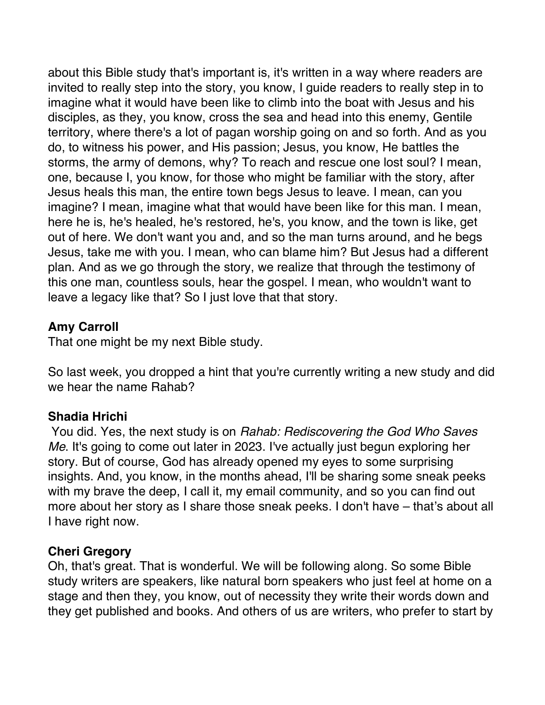about this Bible study that's important is, it's written in a way where readers are invited to really step into the story, you know, I guide readers to really step in to imagine what it would have been like to climb into the boat with Jesus and his disciples, as they, you know, cross the sea and head into this enemy, Gentile territory, where there's a lot of pagan worship going on and so forth. And as you do, to witness his power, and His passion; Jesus, you know, He battles the storms, the army of demons, why? To reach and rescue one lost soul? I mean, one, because I, you know, for those who might be familiar with the story, after Jesus heals this man, the entire town begs Jesus to leave. I mean, can you imagine? I mean, imagine what that would have been like for this man. I mean, here he is, he's healed, he's restored, he's, you know, and the town is like, get out of here. We don't want you and, and so the man turns around, and he begs Jesus, take me with you. I mean, who can blame him? But Jesus had a different plan. And as we go through the story, we realize that through the testimony of this one man, countless souls, hear the gospel. I mean, who wouldn't want to leave a legacy like that? So I just love that that story.

#### **Amy Carroll**

That one might be my next Bible study.

So last week, you dropped a hint that you're currently writing a new study and did we hear the name Rahab?

#### **Shadia Hrichi**

You did. Yes, the next study is on *Rahab: Rediscovering the God Who Saves Me*. It's going to come out later in 2023. I've actually just begun exploring her story. But of course, God has already opened my eyes to some surprising insights. And, you know, in the months ahead, I'll be sharing some sneak peeks with my brave the deep, I call it, my email community, and so you can find out more about her story as I share those sneak peeks. I don't have – that's about all I have right now.

#### **Cheri Gregory**

Oh, that's great. That is wonderful. We will be following along. So some Bible study writers are speakers, like natural born speakers who just feel at home on a stage and then they, you know, out of necessity they write their words down and they get published and books. And others of us are writers, who prefer to start by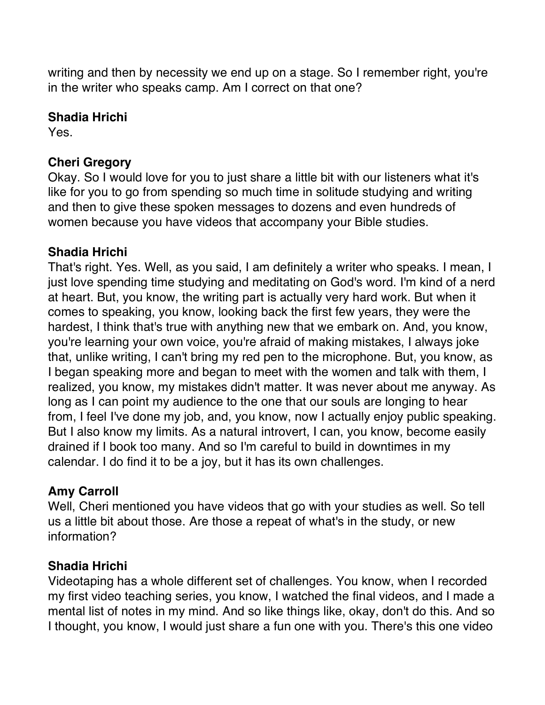writing and then by necessity we end up on a stage. So I remember right, you're in the writer who speaks camp. Am I correct on that one?

#### **Shadia Hrichi**

Yes.

### **Cheri Gregory**

Okay. So I would love for you to just share a little bit with our listeners what it's like for you to go from spending so much time in solitude studying and writing and then to give these spoken messages to dozens and even hundreds of women because you have videos that accompany your Bible studies.

# **Shadia Hrichi**

That's right. Yes. Well, as you said, I am definitely a writer who speaks. I mean, I just love spending time studying and meditating on God's word. I'm kind of a nerd at heart. But, you know, the writing part is actually very hard work. But when it comes to speaking, you know, looking back the first few years, they were the hardest, I think that's true with anything new that we embark on. And, you know, you're learning your own voice, you're afraid of making mistakes, I always joke that, unlike writing, I can't bring my red pen to the microphone. But, you know, as I began speaking more and began to meet with the women and talk with them, I realized, you know, my mistakes didn't matter. It was never about me anyway. As long as I can point my audience to the one that our souls are longing to hear from, I feel I've done my job, and, you know, now I actually enjoy public speaking. But I also know my limits. As a natural introvert, I can, you know, become easily drained if I book too many. And so I'm careful to build in downtimes in my calendar. I do find it to be a joy, but it has its own challenges.

# **Amy Carroll**

Well, Cheri mentioned you have videos that go with your studies as well. So tell us a little bit about those. Are those a repeat of what's in the study, or new information?

### **Shadia Hrichi**

Videotaping has a whole different set of challenges. You know, when I recorded my first video teaching series, you know, I watched the final videos, and I made a mental list of notes in my mind. And so like things like, okay, don't do this. And so I thought, you know, I would just share a fun one with you. There's this one video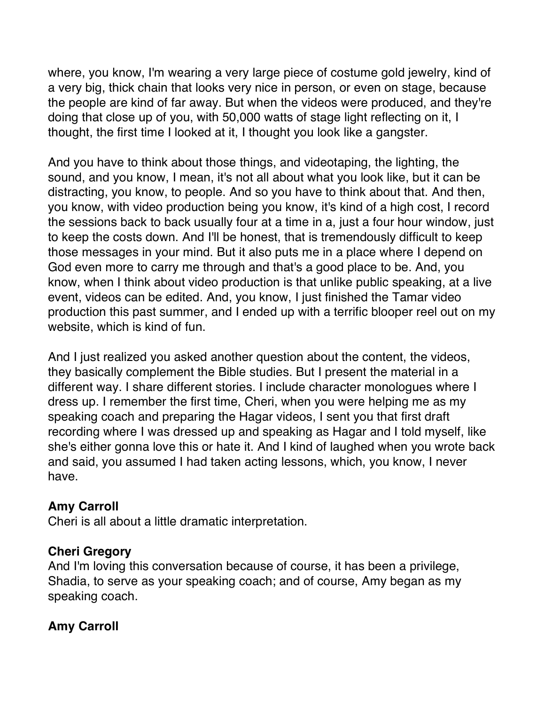where, you know, I'm wearing a very large piece of costume gold jewelry, kind of a very big, thick chain that looks very nice in person, or even on stage, because the people are kind of far away. But when the videos were produced, and they're doing that close up of you, with 50,000 watts of stage light reflecting on it, I thought, the first time I looked at it, I thought you look like a gangster.

And you have to think about those things, and videotaping, the lighting, the sound, and you know, I mean, it's not all about what you look like, but it can be distracting, you know, to people. And so you have to think about that. And then, you know, with video production being you know, it's kind of a high cost, I record the sessions back to back usually four at a time in a, just a four hour window, just to keep the costs down. And I'll be honest, that is tremendously difficult to keep those messages in your mind. But it also puts me in a place where I depend on God even more to carry me through and that's a good place to be. And, you know, when I think about video production is that unlike public speaking, at a live event, videos can be edited. And, you know, I just finished the Tamar video production this past summer, and I ended up with a terrific blooper reel out on my website, which is kind of fun.

And I just realized you asked another question about the content, the videos, they basically complement the Bible studies. But I present the material in a different way. I share different stories. I include character monologues where I dress up. I remember the first time, Cheri, when you were helping me as my speaking coach and preparing the Hagar videos, I sent you that first draft recording where I was dressed up and speaking as Hagar and I told myself, like she's either gonna love this or hate it. And I kind of laughed when you wrote back and said, you assumed I had taken acting lessons, which, you know, I never have.

### **Amy Carroll**

Cheri is all about a little dramatic interpretation.

#### **Cheri Gregory**

And I'm loving this conversation because of course, it has been a privilege, Shadia, to serve as your speaking coach; and of course, Amy began as my speaking coach.

# **Amy Carroll**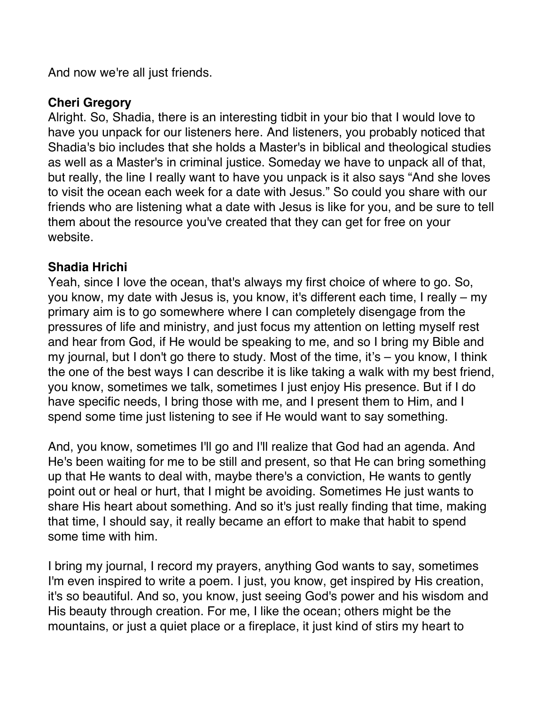And now we're all just friends.

#### **Cheri Gregory**

Alright. So, Shadia, there is an interesting tidbit in your bio that I would love to have you unpack for our listeners here. And listeners, you probably noticed that Shadia's bio includes that she holds a Master's in biblical and theological studies as well as a Master's in criminal justice. Someday we have to unpack all of that, but really, the line I really want to have you unpack is it also says "And she loves to visit the ocean each week for a date with Jesus." So could you share with our friends who are listening what a date with Jesus is like for you, and be sure to tell them about the resource you've created that they can get for free on your website.

#### **Shadia Hrichi**

Yeah, since I love the ocean, that's always my first choice of where to go. So, you know, my date with Jesus is, you know, it's different each time, I really – my primary aim is to go somewhere where I can completely disengage from the pressures of life and ministry, and just focus my attention on letting myself rest and hear from God, if He would be speaking to me, and so I bring my Bible and my journal, but I don't go there to study. Most of the time, it's – you know, I think the one of the best ways I can describe it is like taking a walk with my best friend, you know, sometimes we talk, sometimes I just enjoy His presence. But if I do have specific needs, I bring those with me, and I present them to Him, and I spend some time just listening to see if He would want to say something.

And, you know, sometimes I'll go and I'll realize that God had an agenda. And He's been waiting for me to be still and present, so that He can bring something up that He wants to deal with, maybe there's a conviction, He wants to gently point out or heal or hurt, that I might be avoiding. Sometimes He just wants to share His heart about something. And so it's just really finding that time, making that time, I should say, it really became an effort to make that habit to spend some time with him.

I bring my journal, I record my prayers, anything God wants to say, sometimes I'm even inspired to write a poem. I just, you know, get inspired by His creation, it's so beautiful. And so, you know, just seeing God's power and his wisdom and His beauty through creation. For me, I like the ocean; others might be the mountains, or just a quiet place or a fireplace, it just kind of stirs my heart to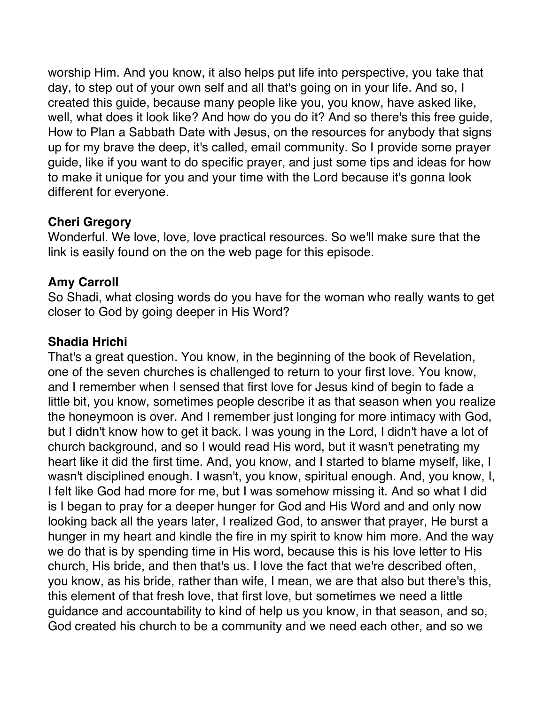worship Him. And you know, it also helps put life into perspective, you take that day, to step out of your own self and all that's going on in your life. And so, I created this guide, because many people like you, you know, have asked like, well, what does it look like? And how do you do it? And so there's this free guide, How to Plan a Sabbath Date with Jesus, on the resources for anybody that signs up for my brave the deep, it's called, email community. So I provide some prayer guide, like if you want to do specific prayer, and just some tips and ideas for how to make it unique for you and your time with the Lord because it's gonna look different for everyone.

#### **Cheri Gregory**

Wonderful. We love, love, love practical resources. So we'll make sure that the link is easily found on the on the web page for this episode.

#### **Amy Carroll**

So Shadi, what closing words do you have for the woman who really wants to get closer to God by going deeper in His Word?

#### **Shadia Hrichi**

That's a great question. You know, in the beginning of the book of Revelation, one of the seven churches is challenged to return to your first love. You know, and I remember when I sensed that first love for Jesus kind of begin to fade a little bit, you know, sometimes people describe it as that season when you realize the honeymoon is over. And I remember just longing for more intimacy with God, but I didn't know how to get it back. I was young in the Lord, I didn't have a lot of church background, and so I would read His word, but it wasn't penetrating my heart like it did the first time. And, you know, and I started to blame myself, like, I wasn't disciplined enough. I wasn't, you know, spiritual enough. And, you know, I, I felt like God had more for me, but I was somehow missing it. And so what I did is I began to pray for a deeper hunger for God and His Word and and only now looking back all the years later, I realized God, to answer that prayer, He burst a hunger in my heart and kindle the fire in my spirit to know him more. And the way we do that is by spending time in His word, because this is his love letter to His church, His bride, and then that's us. I love the fact that we're described often, you know, as his bride, rather than wife, I mean, we are that also but there's this, this element of that fresh love, that first love, but sometimes we need a little guidance and accountability to kind of help us you know, in that season, and so, God created his church to be a community and we need each other, and so we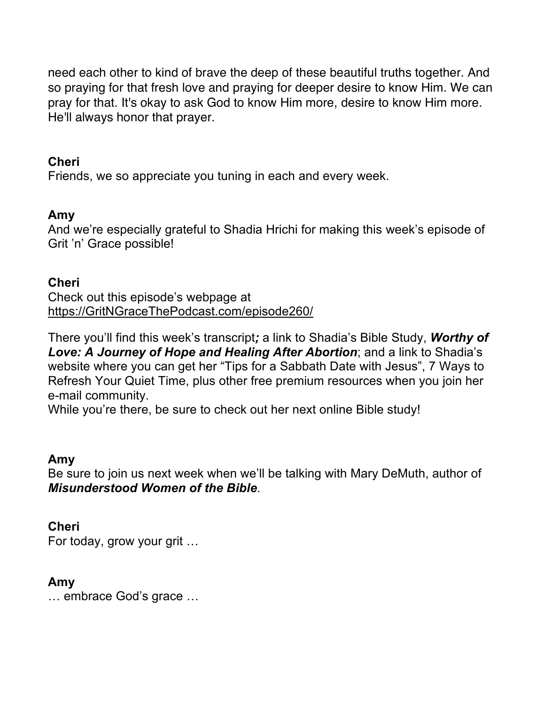need each other to kind of brave the deep of these beautiful truths together. And so praying for that fresh love and praying for deeper desire to know Him. We can pray for that. It's okay to ask God to know Him more, desire to know Him more. He'll always honor that prayer.

#### **Cheri**

Friends, we so appreciate you tuning in each and every week.

#### **Amy**

And we're especially grateful to Shadia Hrichi for making this week's episode of Grit 'n' Grace possible!

#### **Cheri**

Check out this episode's webpage at https://GritNGraceThePodcast.com/episode260/

There you'll find this week's transcript*;* a link to Shadia's Bible Study, *Worthy of Love: A Journey of Hope and Healing After Abortion*; and a link to Shadia's website where you can get her "Tips for a Sabbath Date with Jesus", 7 Ways to Refresh Your Quiet Time, plus other free premium resources when you join her e-mail community.

While you're there, be sure to check out her next online Bible study!

#### **Amy**

Be sure to join us next week when we'll be talking with Mary DeMuth, author of *Misunderstood Women of the Bible*.

#### **Cheri**

For today, grow your grit …

#### **Amy**

… embrace God's grace …